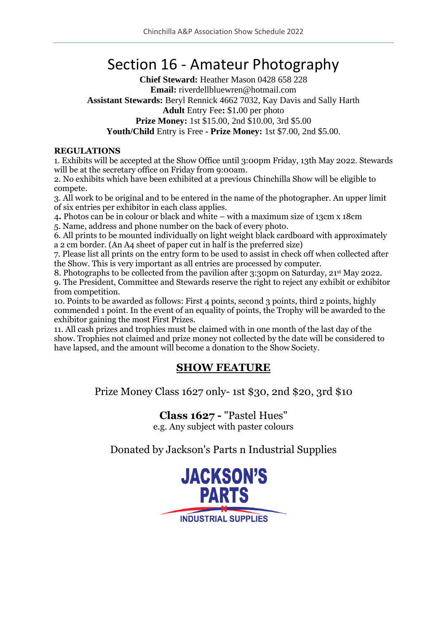# Section 16 - Amateur Photography

**Chief Steward:** Heather Mason 0428 658 228 **Email:** riverdellbluewren@hotmail.com **Assistant Stewards:** Beryl Rennick 4662 7032, Kay Davis and Sally Harth **Adult** Entry Fee**:** \$1**.**00 per photo **Prize Money:** 1st \$15.00, 2nd \$10.00, 3rd \$5.00 **Youth/Child** Entry is Free **- Prize Money:** 1st \$7.00, 2nd \$5.00.

### **REGULATIONS**

1. Exhibits will be accepted at the Show Office until 3:00pm Friday, 13th May 2022. Stewards will be at the secretary office on Friday from 9:00am.

2. No exhibits which have been exhibited at a previous Chinchilla Show will be eligible to compete.

3. All work to be original and to be entered in the name of the photographer. An upper limit of six entries per exhibitor in each class applies.

4**.** Photos can be in colour or black and white – with a maximum size of 13cm x 18cm

5. Name, address and phone number on the back of every photo.

6. All prints to be mounted individually on light weight black cardboard with approximately a 2 cm border. (An A4 sheet of paper cut in half is the preferred size)

7. Please list all prints on the entry form to be used to assist in check off when collected after the Show. This is very important as all entries are processed by computer.

8. Photographs to be collected from the pavilion after 3:30pm on Saturday, 21<sup>st</sup> May 2022.

9. The President, Committee and Stewards reserve the right to reject any exhibit or exhibitor from competition.

10. Points to be awarded as follows: First 4 points, second 3 points, third 2 points, highly commended 1 point. In the event of an equality of points, the Trophy will be awarded to the exhibitor gaining the most First Prizes.

11. All cash prizes and trophies must be claimed with in one month of the last day of the show. Trophies not claimed and prize money not collected by the date will be considered to have lapsed, and the amount will become a donation to the Show Society.

## **SHOW FEATURE**

Prize Money Class 1627 only- 1st \$30, 2nd \$20, 3rd \$10

**Class 1627 -** "Pastel Hues" e.g. Any subject with paster colours

Donated by Jackson's Parts n Industrial Supplies